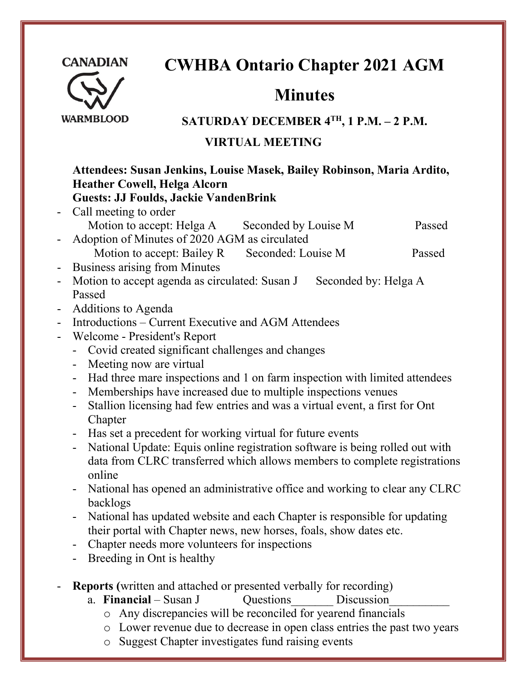

# **CWHBA Ontario Chapter 2021 AGM**

# **Minutes**

#### **WARMBLOOD**

## **SATURDAY DECEMBER 4TH , 1 P.M. – 2 P.M.**

## **VIRTUAL MEETING**

#### **Attendees: Susan Jenkins, Louise Masek, Bailey Robinson, Maria Ardito, Heather Cowell, Helga Alcorn Guests: JJ Foulds, Jackie VandenBrink**

- Call meeting to order Motion to accept: Helga A Seconded by Louise M Passed
- Adoption of Minutes of 2020 AGM as circulated Motion to accept: Bailey R Seconded: Louise M Passed
- Business arising from Minutes
- Motion to accept agenda as circulated: Susan J Seconded by: Helga A Passed
- Additions to Agenda
- Introductions Current Executive and AGM Attendees
- Welcome President's Report
	- Covid created significant challenges and changes
	- Meeting now are virtual
	- Had three mare inspections and 1 on farm inspection with limited attendees
	- Memberships have increased due to multiple inspections venues
	- Stallion licensing had few entries and was a virtual event, a first for Ont Chapter
	- Has set a precedent for working virtual for future events
	- National Update: Equis online registration software is being rolled out with data from CLRC transferred which allows members to complete registrations online
	- National has opened an administrative office and working to clear any CLRC backlogs
	- National has updated website and each Chapter is responsible for updating their portal with Chapter news, new horses, foals, show dates etc.
	- Chapter needs more volunteers for inspections
	- Breeding in Ont is healthy
- **Reports (**written and attached or presented verbally for recording)
	- a. **Financial** Susan J Cuestions Discussion
		- o Any discrepancies will be reconciled for yearend financials
		- o Lower revenue due to decrease in open class entries the past two years
		- o Suggest Chapter investigates fund raising events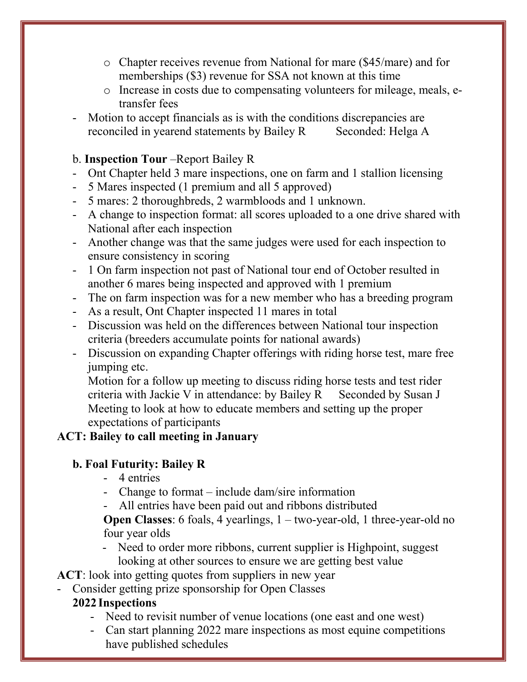- o Chapter receives revenue from National for mare (\$45/mare) and for memberships (\$3) revenue for SSA not known at this time
- o Increase in costs due to compensating volunteers for mileage, meals, etransfer fees
- Motion to accept financials as is with the conditions discrepancies are reconciled in yearend statements by Bailey R Seconded: Helga A

#### b. **Inspection Tour** –Report Bailey R

- Ont Chapter held 3 mare inspections, one on farm and 1 stallion licensing
- 5 Mares inspected (1 premium and all 5 approved)
- 5 mares: 2 thoroughbreds, 2 warmbloods and 1 unknown.
- A change to inspection format: all scores uploaded to a one drive shared with National after each inspection
- Another change was that the same judges were used for each inspection to ensure consistency in scoring
- 1 On farm inspection not past of National tour end of October resulted in another 6 mares being inspected and approved with 1 premium
- The on farm inspection was for a new member who has a breeding program
- As a result, Ont Chapter inspected 11 mares in total
- Discussion was held on the differences between National tour inspection criteria (breeders accumulate points for national awards)
- Discussion on expanding Chapter offerings with riding horse test, mare free jumping etc.

Motion for a follow up meeting to discuss riding horse tests and test rider criteria with Jackie V in attendance: by Bailey  $R$  Seconded by Susan J Meeting to look at how to educate members and setting up the proper expectations of participants

#### **ACT: Bailey to call meeting in January**

#### **b. Foal Futurity: Bailey R**

- 4 entries
- Change to format include dam/sire information
- All entries have been paid out and ribbons distributed

**Open Classes**: 6 foals, 4 yearlings, 1 – two-year-old, 1 three-year-old no four year olds

- Need to order more ribbons, current supplier is Highpoint, suggest looking at other sources to ensure we are getting best value

**ACT**: look into getting quotes from suppliers in new year

- Consider getting prize sponsorship for Open Classes

#### **2022 Inspections**

- Need to revisit number of venue locations (one east and one west)
- Can start planning 2022 mare inspections as most equine competitions have published schedules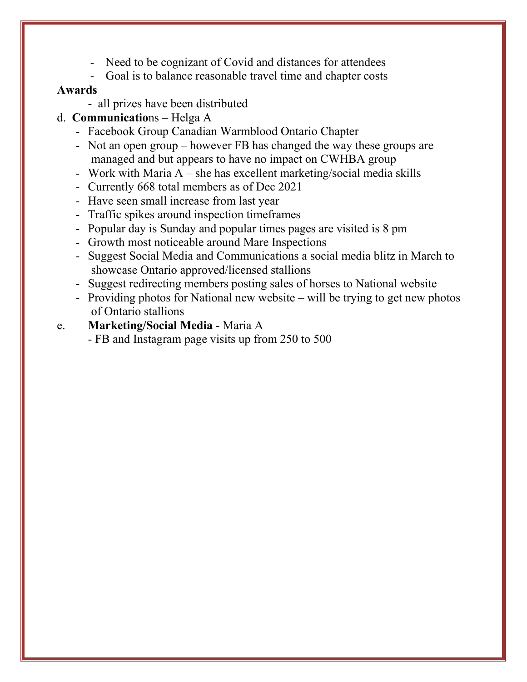- Need to be cognizant of Covid and distances for attendees
- Goal is to balance reasonable travel time and chapter costs

#### **Awards**

- all prizes have been distributed
- d. **Communicatio**ns Helga A
	- Facebook Group Canadian Warmblood Ontario Chapter
	- Not an open group however FB has changed the way these groups are managed and but appears to have no impact on CWHBA group
	- Work with Maria A she has excellent marketing/social media skills
	- Currently 668 total members as of Dec 2021
	- Have seen small increase from last year
	- Traffic spikes around inspection timeframes
	- Popular day is Sunday and popular times pages are visited is 8 pm
	- Growth most noticeable around Mare Inspections
	- Suggest Social Media and Communications a social media blitz in March to showcase Ontario approved/licensed stallions
	- Suggest redirecting members posting sales of horses to National website
	- Providing photos for National new website will be trying to get new photos of Ontario stallions
- e. **Marketing/Social Media** Maria A
	- FB and Instagram page visits up from 250 to 500